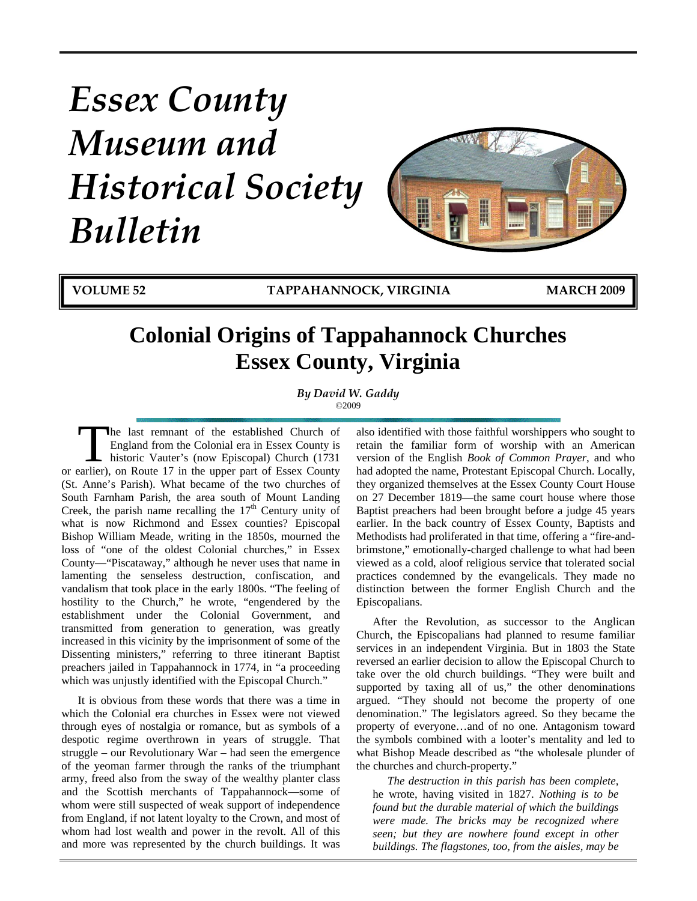# *Essex County Museum and Historical Society Bulletin*



**VOLUME 52 TAPPAHANNOCK, VIRGINIA MARCH 2009**

# **Colonial Origins of Tappahannock Churches Essex County, Virginia**

*By David W. Gaddy*  ©2009

he last remnant of the established Church of England from the Colonial era in Essex County is historic Vauter's (now Episcopal) Church (1731 The last remnant of the established Church of England from the Colonial era in Essex County is historic Vauter's (now Episcopal) Church (1731 or earlier), on Route 17 in the upper part of Essex County (St. Anne's Parish). What became of the two churches of South Farnham Parish, the area south of Mount Landing Creek, the parish name recalling the  $17<sup>th</sup>$  Century unity of what is now Richmond and Essex counties? Episcopal Bishop William Meade, writing in the 1850s, mourned the loss of "one of the oldest Colonial churches," in Essex County—"Piscataway," although he never uses that name in lamenting the senseless destruction, confiscation, and vandalism that took place in the early 1800s. "The feeling of hostility to the Church," he wrote, "engendered by the establishment under the Colonial Government, and transmitted from generation to generation, was greatly increased in this vicinity by the imprisonment of some of the Dissenting ministers," referring to three itinerant Baptist preachers jailed in Tappahannock in 1774, in "a proceeding which was unjustly identified with the Episcopal Church."

It is obvious from these words that there was a time in which the Colonial era churches in Essex were not viewed through eyes of nostalgia or romance, but as symbols of a despotic regime overthrown in years of struggle. That struggle – our Revolutionary War – had seen the emergence of the yeoman farmer through the ranks of the triumphant army, freed also from the sway of the wealthy planter class and the Scottish merchants of Tappahannock—some of whom were still suspected of weak support of independence from England, if not latent loyalty to the Crown, and most of whom had lost wealth and power in the revolt. All of this and more was represented by the church buildings. It was also identified with those faithful worshippers who sought to retain the familiar form of worship with an American version of the English *Book of Common Prayer*, and who had adopted the name, Protestant Episcopal Church. Locally, they organized themselves at the Essex County Court House on 27 December 1819—the same court house where those Baptist preachers had been brought before a judge 45 years earlier. In the back country of Essex County, Baptists and Methodists had proliferated in that time, offering a "fire-andbrimstone," emotionally-charged challenge to what had been viewed as a cold, aloof religious service that tolerated social practices condemned by the evangelicals. They made no distinction between the former English Church and the Episcopalians.

After the Revolution, as successor to the Anglican Church, the Episcopalians had planned to resume familiar services in an independent Virginia. But in 1803 the State reversed an earlier decision to allow the Episcopal Church to take over the old church buildings. "They were built and supported by taxing all of us," the other denominations argued. "They should not become the property of one denomination." The legislators agreed. So they became the property of everyone…and of no one. Antagonism toward the symbols combined with a looter's mentality and led to what Bishop Meade described as "the wholesale plunder of the churches and church-property."

*The destruction in this parish has been complete*, he wrote, having visited in 1827. *Nothing is to be found but the durable material of which the buildings were made. The bricks may be recognized where seen; but they are nowhere found except in other buildings. The flagstones, too, from the aisles, may be*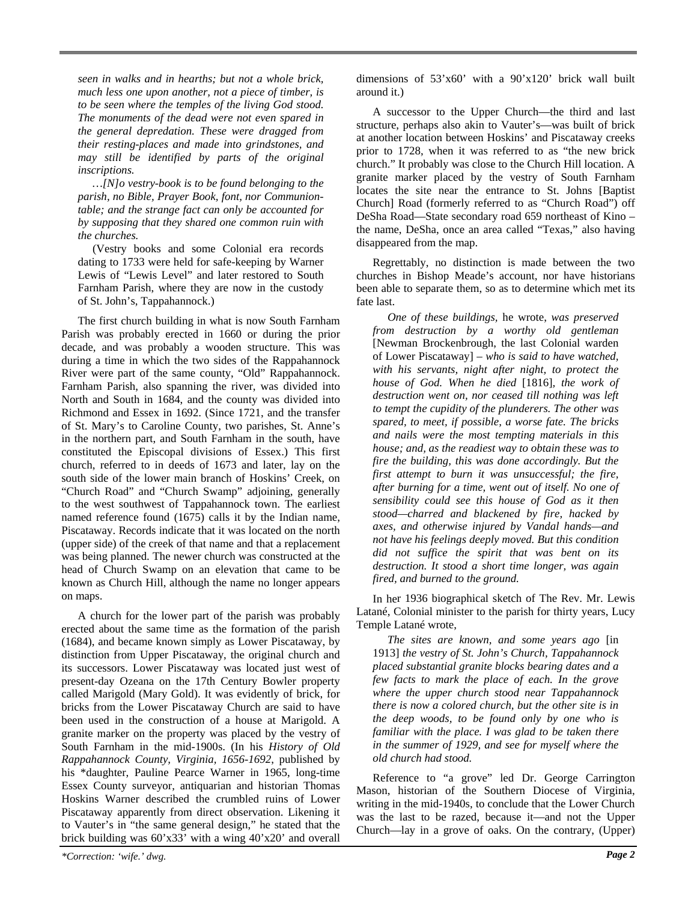*seen in walks and in hearths; but not a whole brick, much less one upon another, not a piece of timber, is to be seen where the temples of the living God stood. The monuments of the dead were not even spared in the general depredation. These were dragged from their resting-places and made into grindstones, and may still be identified by parts of the original inscriptions.* 

*…[N]o vestry-book is to be found belonging to the parish, no Bible, Prayer Book, font, nor Communiontable; and the strange fact can only be accounted for by supposing that they shared one common ruin with the churches.* 

(Vestry books and some Colonial era records dating to 1733 were held for safe-keeping by Warner Lewis of "Lewis Level" and later restored to South Farnham Parish, where they are now in the custody of St. John's, Tappahannock.)

The first church building in what is now South Farnham Parish was probably erected in 1660 or during the prior decade, and was probably a wooden structure. This was during a time in which the two sides of the Rappahannock River were part of the same county, "Old" Rappahannock. Farnham Parish, also spanning the river, was divided into North and South in 1684, and the county was divided into Richmond and Essex in 1692. (Since 1721, and the transfer of St. Mary's to Caroline County, two parishes, St. Anne's in the northern part, and South Farnham in the south, have constituted the Episcopal divisions of Essex.) This first church, referred to in deeds of 1673 and later, lay on the south side of the lower main branch of Hoskins' Creek, on "Church Road" and "Church Swamp" adjoining, generally to the west southwest of Tappahannock town. The earliest named reference found (1675) calls it by the Indian name, Piscataway. Records indicate that it was located on the north (upper side) of the creek of that name and that a replacement was being planned. The newer church was constructed at the head of Church Swamp on an elevation that came to be known as Church Hill, although the name no longer appears on maps.

A church for the lower part of the parish was probably erected about the same time as the formation of the parish (1684), and became known simply as Lower Piscataway, by distinction from Upper Piscataway, the original church and its successors. Lower Piscataway was located just west of present-day Ozeana on the 17th Century Bowler property called Marigold (Mary Gold). It was evidently of brick, for bricks from the Lower Piscataway Church are said to have been used in the construction of a house at Marigold. A granite marker on the property was placed by the vestry of South Farnham in the mid-1900s. (In his *History of Old Rappahannock County, Virginia, 1656-1692*, published by his \*daughter, Pauline Pearce Warner in 1965, long-time Essex County surveyor, antiquarian and historian Thomas Hoskins Warner described the crumbled ruins of Lower Piscataway apparently from direct observation. Likening it to Vauter's in "the same general design," he stated that the brick building was 60'x33' with a wing 40'x20' and overall

A successor to the Upper Church—the third and last structure, perhaps also akin to Vauter's—was built of brick at another location between Hoskins' and Piscataway creeks prior to 1728, when it was referred to as "the new brick church." It probably was close to the Church Hill location. A granite marker placed by the vestry of South Farnham locates the site near the entrance to St. Johns [Baptist Church] Road (formerly referred to as "Church Road") off DeSha Road—State secondary road 659 northeast of Kino – the name, DeSha, once an area called "Texas," also having disappeared from the map.

Regrettably, no distinction is made between the two churches in Bishop Meade's account, nor have historians been able to separate them, so as to determine which met its fate last.

*One of these buildings,* he wrote, *was preserved from destruction by a worthy old gentleman* [Newman Brockenbrough, the last Colonial warden of Lower Piscataway] – *who is said to have watched, with his servants, night after night, to protect the house of God. When he died* [1816]*, the work of destruction went on, nor ceased till nothing was left to tempt the cupidity of the plunderers. The other was spared, to meet, if possible, a worse fate. The bricks and nails were the most tempting materials in this house; and, as the readiest way to obtain these was to fire the building, this was done accordingly. But the first attempt to burn it was unsuccessful; the fire, after burning for a time, went out of itself. No one of sensibility could see this house of God as it then stood—charred and blackened by fire, hacked by axes, and otherwise injured by Vandal hands—and not have his feelings deeply moved. But this condition did not suffice the spirit that was bent on its destruction. It stood a short time longer, was again fired, and burned to the ground.*

In her 1936 biographical sketch of The Rev. Mr. Lewis Latané, Colonial minister to the parish for thirty years, Lucy Temple Latané wrote,

*The sites are known, and some years ago* [in 1913] *the vestry of St. John's Church, Tappahannock placed substantial granite blocks bearing dates and a few facts to mark the place of each. In the grove where the upper church stood near Tappahannock there is now a colored church, but the other site is in the deep woods, to be found only by one who is familiar with the place. I was glad to be taken there in the summer of 1929, and see for myself where the old church had stood.*

Reference to "a grove" led Dr. George Carrington Mason, historian of the Southern Diocese of Virginia, writing in the mid-1940s, to conclude that the Lower Church was the last to be razed, because it—and not the Upper Church—lay in a grove of oaks. On the contrary, (Upper)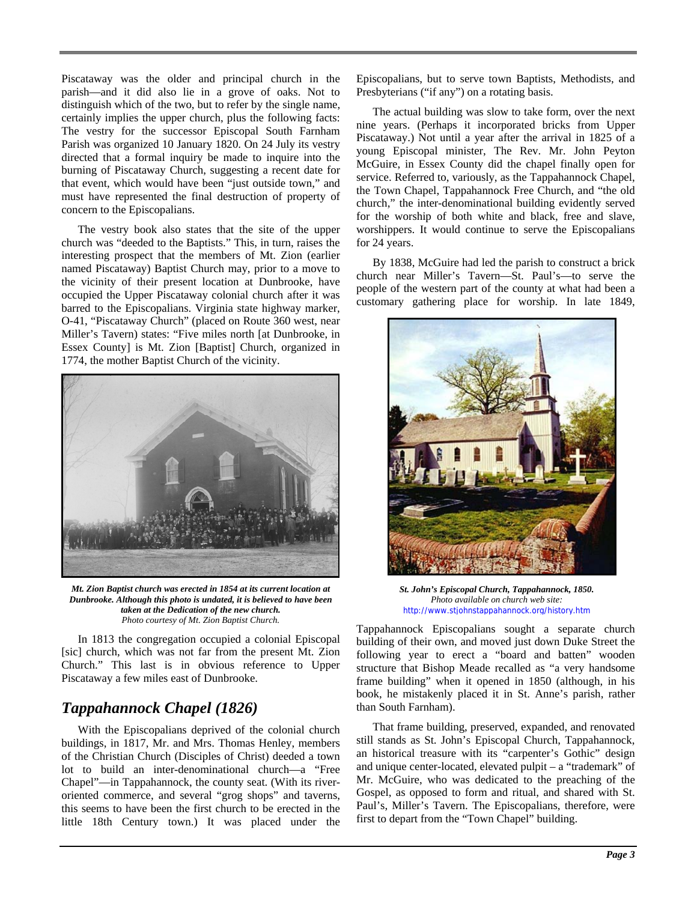Piscataway was the older and principal church in the parish—and it did also lie in a grove of oaks. Not to distinguish which of the two, but to refer by the single name, certainly implies the upper church, plus the following facts: The vestry for the successor Episcopal South Farnham Parish was organized 10 January 1820. On 24 July its vestry directed that a formal inquiry be made to inquire into the burning of Piscataway Church, suggesting a recent date for that event, which would have been "just outside town," and must have represented the final destruction of property of concern to the Episcopalians.

The vestry book also states that the site of the upper church was "deeded to the Baptists." This, in turn, raises the interesting prospect that the members of Mt. Zion (earlier named Piscataway) Baptist Church may, prior to a move to the vicinity of their present location at Dunbrooke, have occupied the Upper Piscataway colonial church after it was barred to the Episcopalians. Virginia state highway marker, O-41, "Piscataway Church" (placed on Route 360 west, near Miller's Tavern) states: "Five miles north [at Dunbrooke, in Essex County] is Mt. Zion [Baptist] Church, organized in 1774, the mother Baptist Church of the vicinity.



*Mt. Zion Baptist church was erected in 1854 at its current location at Dunbrooke. Although this photo is undated, it is believed to have been taken at the Dedication of the new church. Photo courtesy of Mt. Zion Baptist Church.*

In 1813 the congregation occupied a colonial Episcopal [sic] church, which was not far from the present Mt. Zion Church." This last is in obvious reference to Upper Piscataway a few miles east of Dunbrooke.

# *Tappahannock Chapel (1826)*

With the Episcopalians deprived of the colonial church buildings, in 1817, Mr. and Mrs. Thomas Henley, members of the Christian Church (Disciples of Christ) deeded a town lot to build an inter-denominational church—a "Free Chapel"—in Tappahannock, the county seat. (With its riveroriented commerce, and several "grog shops" and taverns, this seems to have been the first church to be erected in the little 18th Century town.) It was placed under the

Episcopalians, but to serve town Baptists, Methodists, and Presbyterians ("if any") on a rotating basis.

The actual building was slow to take form, over the next nine years. (Perhaps it incorporated bricks from Upper Piscataway.) Not until a year after the arrival in 1825 of a young Episcopal minister, The Rev. Mr. John Peyton McGuire, in Essex County did the chapel finally open for service. Referred to, variously, as the Tappahannock Chapel, the Town Chapel, Tappahannock Free Church, and "the old church," the inter-denominational building evidently served for the worship of both white and black, free and slave, worshippers. It would continue to serve the Episcopalians for 24 years.

By 1838, McGuire had led the parish to construct a brick church near Miller's Tavern—St. Paul's—to serve the people of the western part of the county at what had been a customary gathering place for worship. In late 1849,



*St. John's Episcopal Church, Tappahannock, 1850. Photo available on church web site:* <http://www.stjohnstappahannock.org/history.htm>

Tappahannock Episcopalians sought a separate church building of their own, and moved just down Duke Street the following year to erect a "board and batten" wooden structure that Bishop Meade recalled as "a very handsome frame building" when it opened in 1850 (although, in his book, he mistakenly placed it in St. Anne's parish, rather than South Farnham).

That frame building, preserved, expanded, and renovated still stands as St. John's Episcopal Church, Tappahannock, an historical treasure with its "carpenter's Gothic" design and unique center-located, elevated pulpit – a "trademark" of Mr. McGuire, who was dedicated to the preaching of the Gospel, as opposed to form and ritual, and shared with St. Paul's, Miller's Tavern. The Episcopalians, therefore, were first to depart from the "Town Chapel" building.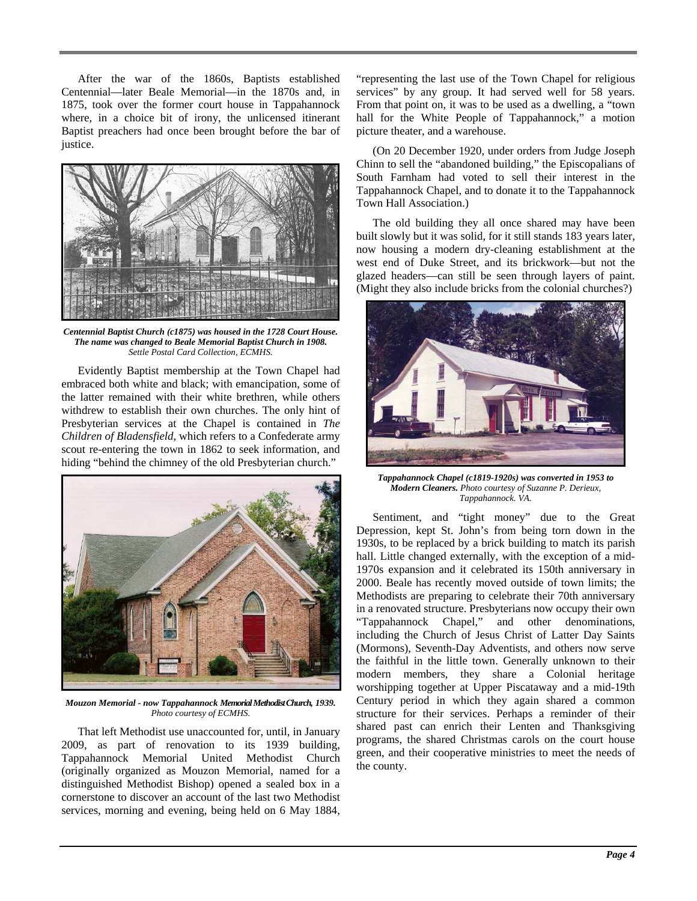After the war of the 1860s, Baptists established Centennial—later Beale Memorial—in the 1870s and, in 1875, took over the former court house in Tappahannock where, in a choice bit of irony, the unlicensed itinerant Baptist preachers had once been brought before the bar of justice.



*Centennial Baptist Church (c1875) was housed in the 1728 Court House. The name was changed to Beale Memorial Baptist Church in 1908. Settle Postal Card Collection, ECMHS.*

Evidently Baptist membership at the Town Chapel had embraced both white and black; with emancipation, some of the latter remained with their white brethren, while others withdrew to establish their own churches. The only hint of Presbyterian services at the Chapel is contained in *The Children of Bladensfield*, which refers to a Confederate army scout re-entering the town in 1862 to seek information, and hiding "behind the chimney of the old Presbyterian church."



*Mouzon Memorial - now Tappahannock Memorial Methodist Church, 1939. Photo courtesy of ECMHS.*

That left Methodist use unaccounted for, until, in January 2009, as part of renovation to its 1939 building, Tappahannock Memorial United Methodist Church (originally organized as Mouzon Memorial, named for a distinguished Methodist Bishop) opened a sealed box in a cornerstone to discover an account of the last two Methodist services, morning and evening, being held on 6 May 1884, "representing the last use of the Town Chapel for religious services" by any group. It had served well for 58 years. From that point on, it was to be used as a dwelling, a "town hall for the White People of Tappahannock," a motion picture theater, and a warehouse.

(On 20 December 1920, under orders from Judge Joseph Chinn to sell the "abandoned building," the Episcopalians of South Farnham had voted to sell their interest in the Tappahannock Chapel, and to donate it to the Tappahannock Town Hall Association.)

The old building they all once shared may have been built slowly but it was solid, for it still stands 183 years later, now housing a modern dry-cleaning establishment at the west end of Duke Street, and its brickwork—but not the glazed headers—can still be seen through layers of paint. (Might they also include bricks from the colonial churches?)



*Tappahannock Chapel (c1819-1920s) was converted in 1953 to Modern Cleaners. Photo courtesy of Suzanne P. Derieux, Tappahannock. VA.* 

Sentiment, and "tight money" due to the Great Depression, kept St. John's from being torn down in the 1930s, to be replaced by a brick building to match its parish hall. Little changed externally, with the exception of a mid-1970s expansion and it celebrated its 150th anniversary in 2000. Beale has recently moved outside of town limits; the Methodists are preparing to celebrate their 70th anniversary in a renovated structure. Presbyterians now occupy their own "Tappahannock Chapel," and other denominations, including the Church of Jesus Christ of Latter Day Saints (Mormons), Seventh-Day Adventists, and others now serve the faithful in the little town. Generally unknown to their modern members, they share a Colonial heritage worshipping together at Upper Piscataway and a mid-19th Century period in which they again shared a common structure for their services. Perhaps a reminder of their shared past can enrich their Lenten and Thanksgiving programs, the shared Christmas carols on the court house green, and their cooperative ministries to meet the needs of the county.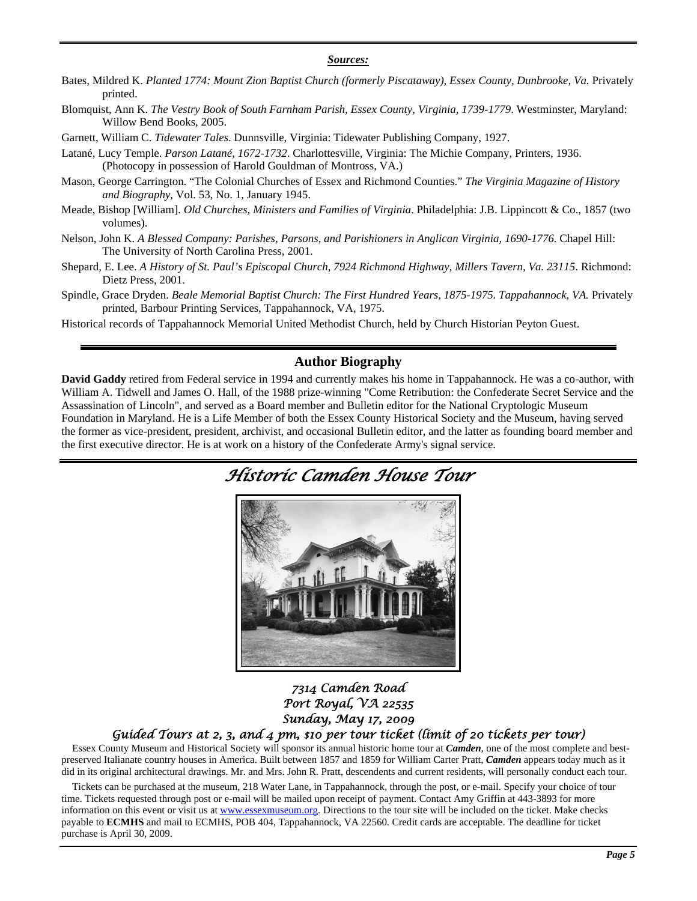#### *Sources:*

- Bates, Mildred K. *Planted 1774: Mount Zion Baptist Church (formerly Piscataway), Essex County, Dunbrooke, Va.* Privately printed.
- Blomquist, Ann K. *The Vestry Book of South Farnham Parish, Essex County, Virginia, 1739-1779*. Westminster, Maryland: Willow Bend Books, 2005.
- Garnett, William C. *Tidewater Tales*. Dunnsville, Virginia: Tidewater Publishing Company, 1927.
- Latané, Lucy Temple. *Parson Latané, 1672-1732*. Charlottesville, Virginia: The Michie Company, Printers, 1936. (Photocopy in possession of Harold Gouldman of Montross, VA.)
- Mason, George Carrington. "The Colonial Churches of Essex and Richmond Counties." *The Virginia Magazine of History and Biography*, Vol. 53, No. 1, January 1945.
- Meade, Bishop [William]. *Old Churches, Ministers and Families of Virginia*. Philadelphia: J.B. Lippincott & Co., 1857 (two volumes).
- Nelson, John K. *A Blessed Company: Parishes, Parsons, and Parishioners in Anglican Virginia, 1690-1776.* Chapel Hill: The University of North Carolina Press, 2001.
- Shepard, E. Lee. *A History of St. Paul's Episcopal Church, 7924 Richmond Highway, Millers Tavern, Va. 23115*. Richmond: Dietz Press, 2001.
- Spindle, Grace Dryden. *Beale Memorial Baptist Church: The First Hundred Years, 1875-1975. Tappahannock, VA. Privately* printed, Barbour Printing Services, Tappahannock, VA, 1975.
- Historical records of Tappahannock Memorial United Methodist Church, held by Church Historian Peyton Guest.

### **Author Biography**

**David Gaddy** retired from Federal service in 1994 and currently makes his home in Tappahannock. He was a co-author, with William A. Tidwell and James O. Hall, of the 1988 prize-winning "Come Retribution: the Confederate Secret Service and the Assassination of Lincoln", and served as a Board member and Bulletin editor for the National Cryptologic Museum Foundation in Maryland. He is a Life Member of both the Essex County Historical Society and the Museum, having served the former as vice-president, president, archivist, and occasional Bulletin editor, and the latter as founding board member and the first executive director. He is at work on a history of the Confederate Army's signal service.

*Historic Camden House Tour* 



# *7314 Camden Road Port Royal, VA 22535 Sunday, May 17, 2009*

#### *Guided Tours at 2, 3, and 4 pm, \$10 per tour ticket (limit of 20 tickets per tour)*

Essex County Museum and Historical Society will sponsor its annual historic home tour at *Camden*, one of the most complete and bestpreserved Italianate country houses in America. Built between 1857 and 1859 for William Carter Pratt, *Camden* appears today much as it did in its original architectural drawings. Mr. and Mrs. John R. Pratt, descendents and current residents, will personally conduct each tour.

Tickets can be purchased at the museum, 218 Water Lane, in Tappahannock, through the post, or e-mail. Specify your choice of tour time. Tickets requested through post or e-mail will be mailed upon receipt of payment. Contact Amy Griffin at 443-3893 for more information on this event or visit us at [www.essexmuseum.org](http://www.essexmuseum.org/). Directions to the tour site will be included on the ticket. Make checks payable to **ECMHS** and mail to ECMHS, POB 404, Tappahannock, VA 22560. Credit cards are acceptable. The deadline for ticket purchase is April 30, 2009.